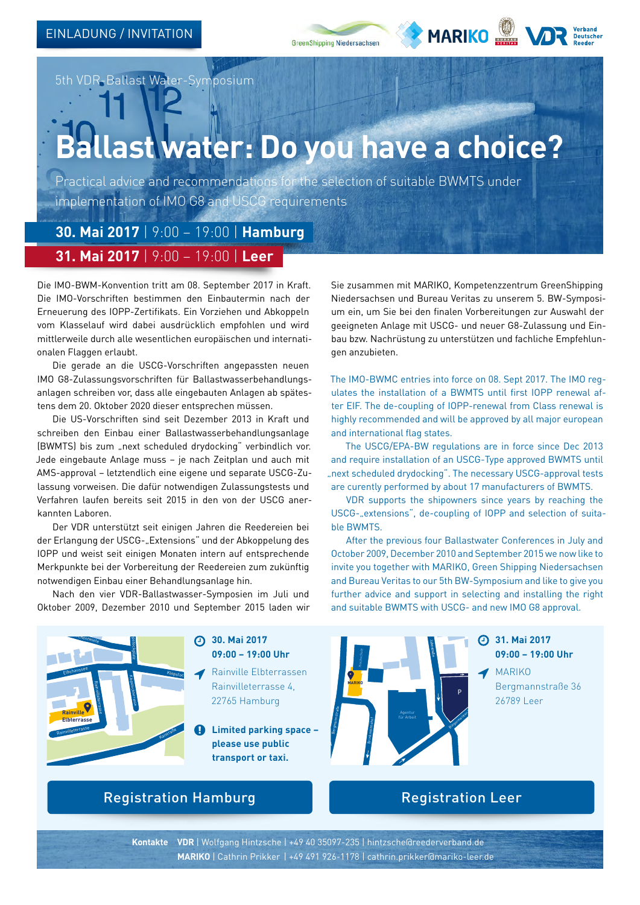



5th VDR-Ballast Water-Symposium

## **Ballast water: Do you have a choice?**

Practical advice and recommendations for the selection of suitable BWMTS under implementation of IMO G8 and USCG requirements

**30. Mai 2017** | 9:00 – 19:00 | **Hamburg**

## **31. Mai 2017** | 9:00 – 19:00 | **Leer**

Die IMO-BWM-Konvention tritt am 08. September 2017 in Kraft. Die IMO-Vorschriften bestimmen den Einbautermin nach der Erneuerung des IOPP-Zertifikats. Ein Vorziehen und Abkoppeln vom Klasselauf wird dabei ausdrücklich empfohlen und wird mittlerweile durch alle wesentlichen europäischen und internationalen Flaggen erlaubt.

Die gerade an die USCG-Vorschriften angepassten neuen IMO G8-Zulassungsvorschriften für Ballastwasserbehandlungsanlagen schreiben vor, dass alle eingebauten Anlagen ab spätestens dem 20. Oktober 2020 dieser entsprechen müssen.

Die US-Vorschriften sind seit Dezember 2013 in Kraft und schreiben den Einbau einer Ballastwasserbehandlungsanlage (BWMTS) bis zum "next scheduled drydocking" verbindlich vor. Jede eingebaute Anlage muss – je nach Zeitplan und auch mit AMS-approval – letztendlich eine eigene und separate USCG-Zulassung vorweisen. Die dafür notwendigen Zulassungstests und Verfahren laufen bereits seit 2015 in den von der USCG anerkannten Laboren.

Der VDR unterstützt seit einigen Jahren die Reedereien bei der Erlangung der USCG-"Extensions" und der Abkoppelung des IOPP und weist seit einigen Monaten intern auf entsprechende Merkpunkte bei der Vorbereitung der Reedereien zum zukünftig notwendigen Einbau einer Behandlungsanlage hin.

Nach den vier VDR-Ballastwasser-Symposien im Juli und Oktober 2009, Dezember 2010 und September 2015 laden wir Sie zusammen mit MARIKO, Kompetenzzentrum GreenShipping Niedersachsen und Bureau Veritas zu unserem 5. BW-Symposium ein, um Sie bei den finalen Vorbereitungen zur Auswahl der geeigneten Anlage mit USCG- und neuer G8-Zulassung und Einbau bzw. Nachrüstung zu unterstützen und fachliche Empfehlungen anzubieten.

The IMO-BWMC entries into force on 08. Sept 2017. The IMO regulates the installation of a BWMTS until first IOPP renewal after EIF. The de-coupling of IOPP-renewal from Class renewal is highly recommended and will be approved by all major european and international flag states.

The USCG/EPA-BW regulations are in force since Dec 2013 and require installation of an USCG-Type approved BWMTS until "next scheduled drydocking". The necessary USCG-approval tests are curently performed by about 17 manufacturers of BWMTS.

VDR supports the shipowners since years by reaching the USCG-..extensions", de-coupling of IOPP and selection of suitable BWMTS.

After the previous four Ballastwater Conferences in July and October 2009, December 2010 and September 2015 we now like to invite you together with MARIKO, Green Shipping Niedersachsen and Bureau Veritas to our 5th BW-Symposium and like to give you further advice and support in selecting and installing the right and suitable BWMTS with USCG- and new IMO G8 approval.



**30. Mai 2017** Rathaus **09:00 – 19:00 Uhr** Altona

Rainville Elbterrassen Rainvilleterrasse 4, 22765 Hamburg

**Limited parking space – please use public transport or taxi.**



## Registration Hamburg **Registration Leer**

**Kontakte VDR** | Wolfgang Hintzsche | +49 40 35097-235 | hintzsche@reederverband.de **MARIKO** | Cathrin Prikker | +49 491 926-1178 | cathrin.prikker@mariko-leer.de